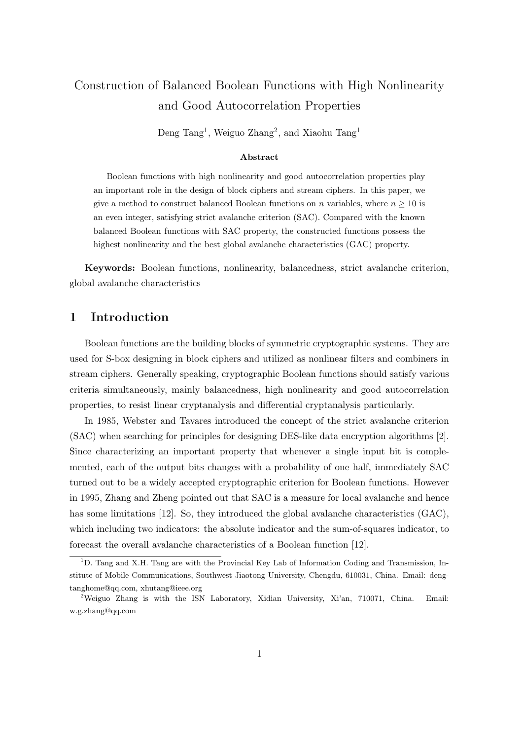# Construction of Balanced Boolean Functions with High Nonlinearity and Good Autocorrelation Properties

Deng Tang<sup>1</sup>, Weiguo Zhang<sup>2</sup>, and Xiaohu Tang<sup>1</sup>

#### Abstract

Boolean functions with high nonlinearity and good autocorrelation properties play an important role in the design of block ciphers and stream ciphers. In this paper, we give a method to construct balanced Boolean functions on n variables, where  $n \geq 10$  is an even integer, satisfying strict avalanche criterion (SAC). Compared with the known balanced Boolean functions with SAC property, the constructed functions possess the highest nonlinearity and the best global avalanche characteristics (GAC) property.

Keywords: Boolean functions, nonlinearity, balancedness, strict avalanche criterion, global avalanche characteristics

### 1 Introduction

Boolean functions are the building blocks of symmetric cryptographic systems. They are used for S-box designing in block ciphers and utilized as nonlinear filters and combiners in stream ciphers. Generally speaking, cryptographic Boolean functions should satisfy various criteria simultaneously, mainly balancedness, high nonlinearity and good autocorrelation properties, to resist linear cryptanalysis and differential cryptanalysis particularly.

In 1985, Webster and Tavares introduced the concept of the strict avalanche criterion (SAC) when searching for principles for designing DES-like data encryption algorithms [2]. Since characterizing an important property that whenever a single input bit is complemented, each of the output bits changes with a probability of one half, immediately SAC turned out to be a widely accepted cryptographic criterion for Boolean functions. However in 1995, Zhang and Zheng pointed out that SAC is a measure for local avalanche and hence has some limitations [12]. So, they introduced the global avalanche characteristics (GAC), which including two indicators: the absolute indicator and the sum-of-squares indicator, to forecast the overall avalanche characteristics of a Boolean function [12].

 $1D$ . Tang and X.H. Tang are with the Provincial Key Lab of Information Coding and Transmission, Institute of Mobile Communications, Southwest Jiaotong University, Chengdu, 610031, China. Email: dengtanghome@qq.com, xhutang@ieee.org

<sup>2</sup>Weiguo Zhang is with the ISN Laboratory, Xidian University, Xi'an, 710071, China. Email: w.g.zhang@qq.com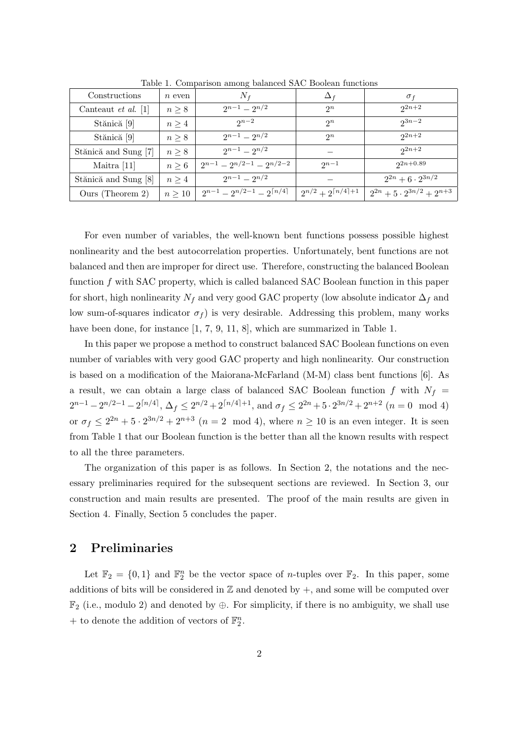| Constructions              | $n$ even    | $N_f$                                         | $\Delta_f$                        | $\sigma_f$                            |
|----------------------------|-------------|-----------------------------------------------|-----------------------------------|---------------------------------------|
| Canteaut <i>et al.</i> [1] | $n \geq 8$  | $2^{n-1} - 2^{n/2}$                           | $2^n$                             | $2^{2n+2}$                            |
| Stănică [9]                | $n \geq 4$  | $2^{n-2}$                                     | $2^n$                             | $2^{3n-2}$                            |
| Stănică [9]                | $n \geq 8$  | $2^{n-1} - 2^{n/2}$                           | $2^n$                             | $2^{2n+2}$                            |
| Stănică and Sung [7]       | $n \geq 8$  | $2^{n-1} - 2^{n/2}$                           |                                   | $2n+2$                                |
| Maitra [11]                | $n \geq 6$  | $2^{n-1} - 2^{n/2-1} - 2^{n/2-2}$             | $2n-1$                            | $2^{2n+0.89}$                         |
| Stănică and Sung [8]       | $n \geq 4$  | $2^{n-1} - 2^{n/2}$                           |                                   | $2^{2n} + 6 \cdot 2^{3n/2}$           |
| Ours (Theorem 2)           | $n \geq 10$ | $2^{n-1} - 2^{n/2-1} - 2^{\lceil n/4 \rceil}$ | $2^{n/2}+2^{\lceil n/4 \rceil+1}$ | $2^{2n} + 5 \cdot 2^{3n/2} + 2^{n+3}$ |

Table 1. Comparison among balanced SAC Boolean functions

For even number of variables, the well-known bent functions possess possible highest nonlinearity and the best autocorrelation properties. Unfortunately, bent functions are not balanced and then are improper for direct use. Therefore, constructing the balanced Boolean function f with SAC property, which is called balanced SAC Boolean function in this paper for short, high nonlinearity  $N_f$  and very good GAC property (low absolute indicator  $\Delta_f$  and low sum-of-squares indicator  $\sigma_f$ ) is very desirable. Addressing this problem, many works have been done, for instance [1, 7, 9, 11, 8], which are summarized in Table 1.

In this paper we propose a method to construct balanced SAC Boolean functions on even number of variables with very good GAC property and high nonlinearity. Our construction is based on a modification of the Maiorana-McFarland (M-M) class bent functions [6]. As a result, we can obtain a large class of balanced SAC Boolean function f with  $N_f$  =  $2^{n-1} - 2^{n/2-1} - 2^{\lceil n/4 \rceil}, \Delta_f \leq 2^{n/2} + 2^{\lceil n/4 \rceil + 1}, \text{ and } \sigma_f \leq 2^{2n} + 5 \cdot 2^{3n/2} + 2^{n+2} \ (n = 0 \mod 4)$ or  $\sigma_f \leq 2^{2n} + 5 \cdot 2^{3n/2} + 2^{n+3}$   $(n = 2 \mod 4)$ , where  $n \geq 10$  is an even integer. It is seen from Table 1 that our Boolean function is the better than all the known results with respect to all the three parameters.

The organization of this paper is as follows. In Section 2, the notations and the necessary preliminaries required for the subsequent sections are reviewed. In Section 3, our construction and main results are presented. The proof of the main results are given in Section 4. Finally, Section 5 concludes the paper.

#### 2 Preliminaries

Let  $\mathbb{F}_2 = \{0,1\}$  and  $\mathbb{F}_2^n$  be the vector space of *n*-tuples over  $\mathbb{F}_2$ . In this paper, some additions of bits will be considered in  $\mathbb Z$  and denoted by  $+$ , and some will be computed over  $\mathbb{F}_2$  (i.e., modulo 2) and denoted by  $\oplus$ . For simplicity, if there is no ambiguity, we shall use + to denote the addition of vectors of  $\mathbb{F}_2^n$ .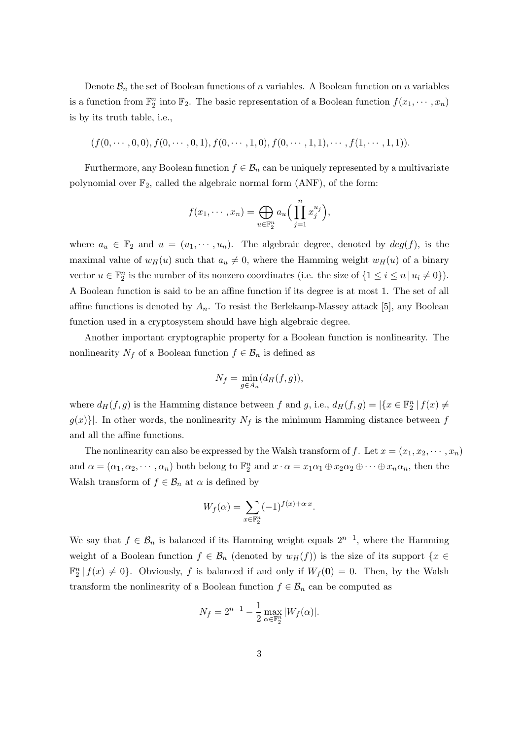Denote  $\mathcal{B}_n$  the set of Boolean functions of n variables. A Boolean function on n variables is a function from  $\mathbb{F}_2^n$  into  $\mathbb{F}_2$ . The basic representation of a Boolean function  $f(x_1, \dots, x_n)$ is by its truth table, i.e.,

$$
(f(0,\dots,0,0),f(0,\dots,0,1),f(0,\dots,1,0),f(0,\dots,1,1),\dots,f(1,\dots,1,1)).
$$

Furthermore, any Boolean function  $f \in \mathcal{B}_n$  can be uniquely represented by a multivariate polynomial over  $\mathbb{F}_2$ , called the algebraic normal form  $(ANF)$ , of the form:

$$
f(x_1, \dots, x_n) = \bigoplus_{u \in \mathbb{F}_2^n} a_u \Big( \prod_{j=1}^n x_j^{u_j} \Big),
$$

where  $a_u \in \mathbb{F}_2$  and  $u = (u_1, \dots, u_n)$ . The algebraic degree, denoted by  $deg(f)$ , is the maximal value of  $w_H(u)$  such that  $a_u \neq 0$ , where the Hamming weight  $w_H(u)$  of a binary vector  $u \in \mathbb{F}_2^n$  is the number of its nonzero coordinates (i.e. the size of  $\{1 \le i \le n \mid u_i \ne 0\}$ ). A Boolean function is said to be an affine function if its degree is at most 1. The set of all affine functions is denoted by  $A_n$ . To resist the Berlekamp-Massey attack [5], any Boolean function used in a cryptosystem should have high algebraic degree.

Another important cryptographic property for a Boolean function is nonlinearity. The nonlinearity  $N_f$  of a Boolean function  $f \in \mathcal{B}_n$  is defined as

$$
N_f = \min_{g \in A_n} (d_H(f, g)),
$$

where  $d_H(f, g)$  is the Hamming distance between f and g, i.e.,  $d_H(f, g) = |\{x \in \mathbb{F}_2^n | f(x) \neq g(x)\}|$  $g(x)$ ]. In other words, the nonlinearity  $N_f$  is the minimum Hamming distance between f and all the affine functions.

The nonlinearity can also be expressed by the Walsh transform of f. Let  $x = (x_1, x_2, \dots, x_n)$ and  $\alpha = (\alpha_1, \alpha_2, \cdots, \alpha_n)$  both belong to  $\mathbb{F}_2^n$  and  $x \cdot \alpha = x_1 \alpha_1 \oplus x_2 \alpha_2 \oplus \cdots \oplus x_n \alpha_n$ , then the Walsh transform of  $f \in \mathcal{B}_n$  at  $\alpha$  is defined by

$$
W_f(\alpha) = \sum_{x \in \mathbb{F}_2^n} (-1)^{f(x) + \alpha \cdot x}.
$$

We say that  $f \in \mathcal{B}_n$  is balanced if its Hamming weight equals  $2^{n-1}$ , where the Hamming weight of a Boolean function  $f \in \mathcal{B}_n$  (denoted by  $w_H(f)$ ) is the size of its support  $\{x \in$  $\mathbb{F}_2^n | f(x) \neq 0$ . Obviously, f is balanced if and only if  $W_f(\mathbf{0}) = 0$ . Then, by the Walsh transform the nonlinearity of a Boolean function  $f \in \mathcal{B}_n$  can be computed as

$$
N_f = 2^{n-1} - \frac{1}{2} \max_{\alpha \in \mathbb{F}_2^n} |W_f(\alpha)|.
$$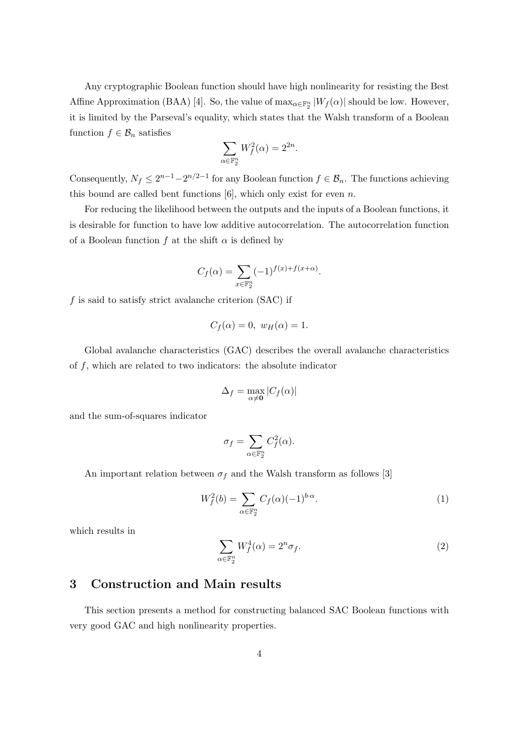Any cryptographic Boolean function should have high nonlinearity for resisting the Best Affine Approximation (BAA) [4]. So, the value of  $\max_{\alpha \in \mathbb{F}_2^n} |W_f(\alpha)|$  should be low. However, it is limited by the Parseval's equality, which states that the Walsh transform of a Boolean function  $f \in \mathcal{B}_n$  satisfies

$$
\sum_{\alpha \in \mathbb{F}_2^n} W_f^2(\alpha) = 2^{2n}.
$$

Consequently,  $N_f \leq 2^{n-1} - 2^{n/2-1}$  for any Boolean function  $f \in \mathcal{B}_n$ . The functions achieving this bound are called bent functions  $[6]$ , which only exist for even n.

For reducing the likelihood between the outputs and the inputs of a Boolean functions, it is desirable for function to have low additive autocorrelation. The autocorrelation function of a Boolean function f at the shift  $\alpha$  is defined by

$$
C_f(\alpha) = \sum_{x \in \mathbb{F}_2^n} (-1)^{f(x) + f(x + \alpha)}.
$$

 $f$  is said to satisfy strict avalanche criterion (SAC) if

$$
C_f(\alpha) = 0, w_H(\alpha) = 1.
$$

Global avalanche characteristics (GAC) describes the overall avalanche characteristics of  $f$ , which are related to two indicators: the absolute indicator

$$
\Delta_f = \max_{\alpha \neq \mathbf{0}} |C_f(\alpha)|
$$

and the sum-of-squares indicator

$$
\sigma_f = \sum_{\alpha \in \mathbb{F}_2^n} C_f^2(\alpha).
$$

An important relation between  $\sigma_f$  and the Walsh transform as follows [3]

$$
W_f^2(b) = \sum_{\alpha \in \mathbb{F}_2^n} C_f(\alpha)(-1)^{b \cdot \alpha}.
$$
 (1)

which results in

$$
\sum_{\alpha \in \mathbb{F}_2^n} W_f^4(\alpha) = 2^n \sigma_f.
$$
 (2)

### 3 Construction and Main results

This section presents a method for constructing balanced SAC Boolean functions with very good GAC and high nonlinearity properties.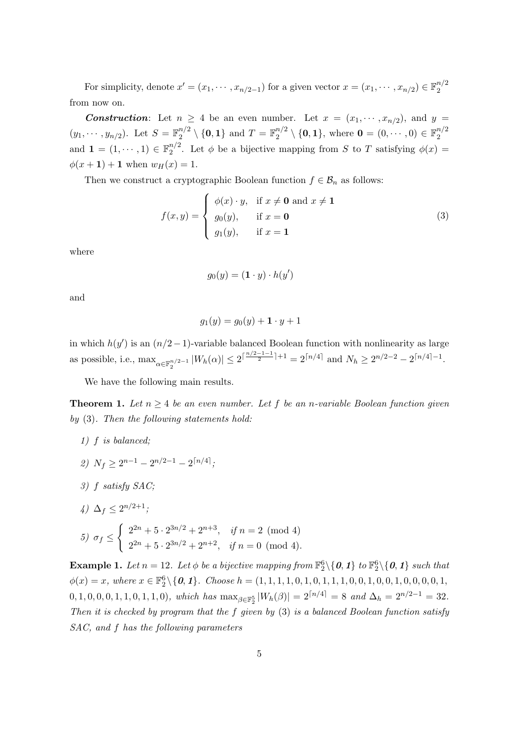For simplicity, denote  $x' = (x_1, \dots, x_{n/2-1})$  for a given vector  $x = (x_1, \dots, x_{n/2}) \in \mathbb{F}_2^{n/2}$ 2 from now on.

**Construction**: Let  $n \geq 4$  be an even number. Let  $x = (x_1, \dots, x_{n/2})$ , and  $y =$  $(y_1, \dots, y_{n/2})$ . Let  $S = \mathbb{F}_2^{n/2}$  $\mathbb{Z}_2^{n/2} \setminus \{\mathbf{0}, \mathbf{1}\}$  and  $T = \mathbb{F}_2^{n/2}$  $\mathbb{R}^{n/2}_{2} \setminus \{\mathbf{0}, \mathbf{1}\}, \text{ where } \mathbf{0} = (0, \cdots, 0) \in \mathbb{F}_2^{n/2}$ 2 and  $\mathbf{1} = (1, \dots, 1) \in \mathbb{F}_2^{n/2}$  $2^{n/2}$ . Let  $\phi$  be a bijective mapping from S to T satisfying  $\phi(x) =$  $\phi(x+1) + 1$  when  $w_H(x) = 1$ .

Then we construct a cryptographic Boolean function  $f \in \mathcal{B}_n$  as follows:

$$
f(x,y) = \begin{cases} \phi(x) \cdot y, & \text{if } x \neq \mathbf{0} \text{ and } x \neq \mathbf{1} \\ g_0(y), & \text{if } x = \mathbf{0} \\ g_1(y), & \text{if } x = \mathbf{1} \end{cases}
$$
 (3)

where

$$
g_0(y) = (\mathbf{1} \cdot y) \cdot h(y')
$$

and

$$
g_1(y) = g_0(y) + \mathbf{1} \cdot y + 1
$$

in which  $h(y')$  is an  $(n/2-1)$ -variable balanced Boolean function with nonlinearity as large as possible, i.e.,  $\max_{\alpha \in \mathbb{F}_2^{n/2-1}} |W_h(\alpha)| \le 2^{\lceil \frac{n/2-1}{2} \rceil + 1} = 2^{\lceil n/4 \rceil}$  and  $N_h \ge 2^{n/2-2} - 2^{\lceil n/4 \rceil - 1}$ .

We have the following main results.

**Theorem 1.** Let  $n \geq 4$  be an even number. Let f be an n-variable Boolean function given by (3). Then the following statements hold:

- 1) f is balanced;
- 2)  $N_f \geq 2^{n-1} 2^{n/2-1} 2^{\lceil n/4 \rceil}$ ;
- 3) f satisfy SAC;
- 4)  $\Delta_f \leq 2^{n/2+1}$ ;

5) 
$$
\sigma_f \le \begin{cases} 2^{2n} + 5 \cdot 2^{3n/2} + 2^{n+3}, & \text{if } n = 2 \pmod{4} \\ 2^{2n} + 5 \cdot 2^{3n/2} + 2^{n+2}, & \text{if } n = 0 \pmod{4}. \end{cases}
$$

**Example 1.** Let  $n = 12$ . Let  $\phi$  be a bijective mapping from  $\mathbb{F}_2^6 \setminus \{0, 1\}$  to  $\mathbb{F}_2^6 \setminus \{0, 1\}$  such that  $\phi(x) = x$ , where  $x \in \mathbb{F}_2^6 \setminus \{\mathbf{0}, \mathbf{1}\}\$ . Choose  $h = (1, 1, 1, 1, 0, 1, 0, 1, 1, 1, 0, 0, 1, 0, 0, 1, 0, 0, 0, 1, 0, 0, 0, 1, 0, 0, 0, 0, 1, 0, 0, 0, 1, 0, 0, 0, 1, 0, 0, 0, 0, 1, 0, 0, 0, 0, 1, 0, 0, 0, 1, 0, 0, 0,$  $(0, 1, 0, 0, 0, 1, 1, 0, 1, 1, 0), \text{ which has } \max_{\beta \in \mathbb{F}_2^5} |W_h(\beta)| = 2^{\lceil n/4 \rceil} = 8 \text{ and } \Delta_h = 2^{n/2 - 1} = 32.$ Then it is checked by program that the  $f$  given by  $(3)$  is a balanced Boolean function satisfy SAC, and f has the following parameters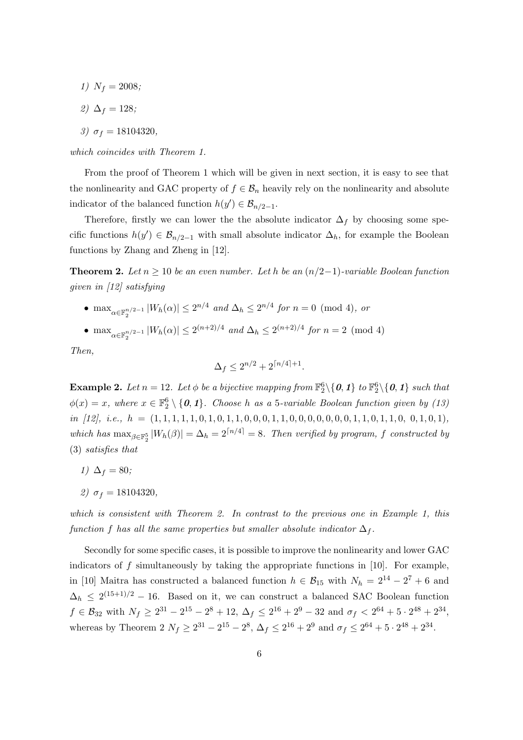- 1)  $N_f = 2008$ ;
- 2)  $\Delta_f = 128;$
- 3)  $\sigma_f = 18104320$ ,

which coincides with Theorem 1.

From the proof of Theorem 1 which will be given in next section, it is easy to see that the nonlinearity and GAC property of  $f \in \mathcal{B}_n$  heavily rely on the nonlinearity and absolute indicator of the balanced function  $h(y') \in \mathcal{B}_{n/2-1}$ .

Therefore, firstly we can lower the the absolute indicator  $\Delta_f$  by choosing some specific functions  $h(y') \in \mathcal{B}_{n/2-1}$  with small absolute indicator  $\Delta_h$ , for example the Boolean functions by Zhang and Zheng in [12].

**Theorem 2.** Let  $n \geq 10$  be an even number. Let h be an  $(n/2-1)$ -variable Boolean function given in [12] satisfying

- max<sub> $\alpha \in \mathbb{F}_2^{n/2-1} |W_h(\alpha)| \leq 2^{n/4}$  and  $\Delta_h \leq 2^{n/4}$  for  $n = 0 \pmod{4}$ , or</sub>
- max<sub> $\alpha \in \mathbb{F}_2^{n/2-1} |W_h(\alpha)| \leq 2^{(n+2)/4}$  and  $\Delta_h \leq 2^{(n+2)/4}$  for  $n = 2 \pmod{4}$ </sub>

Then,

$$
\Delta_f \le 2^{n/2} + 2^{\lceil n/4 \rceil + 1}.
$$

**Example 2.** Let  $n = 12$ . Let  $\phi$  be a bijective mapping from  $\mathbb{F}_2^6 \setminus \{0, 1\}$  to  $\mathbb{F}_2^6 \setminus \{0, 1\}$  such that  $\phi(x) = x$ , where  $x \in \mathbb{F}_2^6 \setminus \{0, 1\}$ . Choose h as a 5-variable Boolean function given by (13) in [12], i.e.,  $h = (1, 1, 1, 1, 1, 0, 1, 1, 0, 0, 0, 1, 1, 0, 0, 0, 0, 0, 0, 0, 1, 1, 0, 1, 1, 0, 0, 1, 0, 1)$ , which has  $\max_{\beta \in \mathbb{F}_2^5} |W_h(\beta)| = \Delta_h = 2^{\lceil n/4 \rceil} = 8$ . Then verified by program, f constructed by (3) satisfies that

- 1)  $\Delta_f = 80;$
- 2)  $\sigma_f = 18104320$ ,

which is consistent with Theorem 2. In contrast to the previous one in Example 1, this function f has all the same properties but smaller absolute indicator  $\Delta_f$ .

Secondly for some specific cases, it is possible to improve the nonlinearity and lower GAC indicators of  $f$  simultaneously by taking the appropriate functions in [10]. For example, in [10] Maitra has constructed a balanced function  $h \in \mathcal{B}_{15}$  with  $N_h = 2^{14} - 2^7 + 6$  and  $\Delta_h \leq 2^{(15+1)/2} - 16$ . Based on it, we can construct a balanced SAC Boolean function  $f \in \mathcal{B}_{32}$  with  $N_f \geq 2^{31} - 2^{15} - 2^8 + 12$ ,  $\Delta_f \leq 2^{16} + 2^9 - 32$  and  $\sigma_f < 2^{64} + 5 \cdot 2^{48} + 2^{34}$ , whereas by Theorem 2  $N_f \ge 2^{31} - 2^{15} - 2^8$ ,  $\Delta_f \le 2^{16} + 2^9$  and  $\sigma_f \le 2^{64} + 5 \cdot 2^{48} + 2^{34}$ .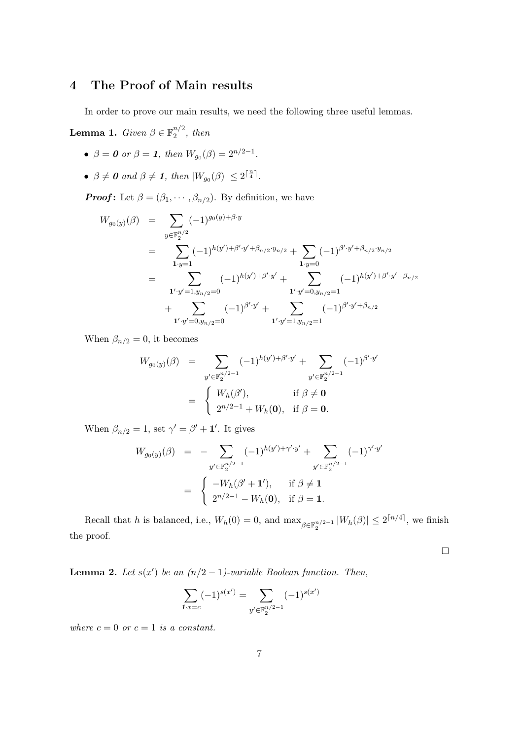# 4 The Proof of Main results

In order to prove our main results, we need the following three useful lemmas.

**Lemma 1.** Given  $\beta \in \mathbb{F}_2^{n/2}$  $\frac{n}{2}$ , then

- $\beta = 0$  or  $\beta = 1$ , then  $W_{g_0}(\beta) = 2^{n/2-1}$ .
- $\beta \neq 0$  and  $\beta \neq 1$ , then  $|W_{g_0}(\beta)| \leq 2^{\lceil \frac{n}{4} \rceil}$ .

**Proof:** Let  $\beta = (\beta_1, \dots, \beta_{n/2})$ . By definition, we have

$$
W_{g_0(y)}(\beta) = \sum_{y \in \mathbb{F}_2^{n/2}} (-1)^{g_0(y) + \beta \cdot y}
$$
  
\n
$$
= \sum_{\mathbf{1} \cdot y = 1} (-1)^{h(y') + \beta' \cdot y' + \beta_{n/2} \cdot y_{n/2}} + \sum_{\mathbf{1} \cdot y = 0} (-1)^{\beta' \cdot y' + \beta_{n/2} \cdot y_{n/2}}
$$
  
\n
$$
= \sum_{\mathbf{1}' \cdot y' = 1, y_{n/2} = 0} (-1)^{h(y') + \beta' \cdot y'} + \sum_{\mathbf{1}' \cdot y' = 0, y_{n/2} = 1} (-1)^{h(y') + \beta' \cdot y' + \beta_{n/2}}
$$
  
\n
$$
+ \sum_{\mathbf{1}' \cdot y' = 0, y_{n/2} = 0} (-1)^{\beta' \cdot y'} + \sum_{\mathbf{1}' \cdot y' = 1, y_{n/2} = 1} (-1)^{\beta' \cdot y' + \beta_{n/2}}
$$

When  $\beta_{n/2} = 0$ , it becomes

$$
W_{g_0(y)}(\beta) = \sum_{y' \in \mathbb{F}_2^{n/2-1}} (-1)^{h(y') + \beta' \cdot y'} + \sum_{y' \in \mathbb{F}_2^{n/2-1}} (-1)^{\beta' \cdot y'}
$$
  
= 
$$
\begin{cases} W_h(\beta'), & \text{if } \beta \neq \mathbf{0} \\ 2^{n/2-1} + W_h(\mathbf{0}), & \text{if } \beta = \mathbf{0}. \end{cases}
$$

When  $\beta_{n/2} = 1$ , set  $\gamma' = \beta' + 1'$ . It gives

$$
W_{g_0(y)}(\beta) = -\sum_{y' \in \mathbb{F}_2^{n/2 - 1}} (-1)^{h(y') + \gamma' \cdot y'} + \sum_{y' \in \mathbb{F}_2^{n/2 - 1}} (-1)^{\gamma' \cdot y'}
$$
  
= 
$$
\begin{cases} -W_h(\beta' + 1'), & \text{if } \beta \neq 1 \\ 2^{n/2 - 1} - W_h(\mathbf{0}), & \text{if } \beta = 1. \end{cases}
$$

Recall that h is balanced, i.e.,  $W_h(0) = 0$ , and  $\max_{\beta \in \mathbb{F}_2^{n/2-1}} |W_h(\beta)| \leq 2^{\lceil n/4 \rceil}$ , we finish the proof.

¤

**Lemma 2.** Let  $s(x')$  be an  $(n/2 - 1)$ -variable Boolean function. Then,

$$
\sum_{1 \cdot x = c} (-1)^{s(x')} = \sum_{y' \in \mathbb{F}_2^{n/2 - 1}} (-1)^{s(x')}
$$

where  $c = 0$  or  $c = 1$  is a constant.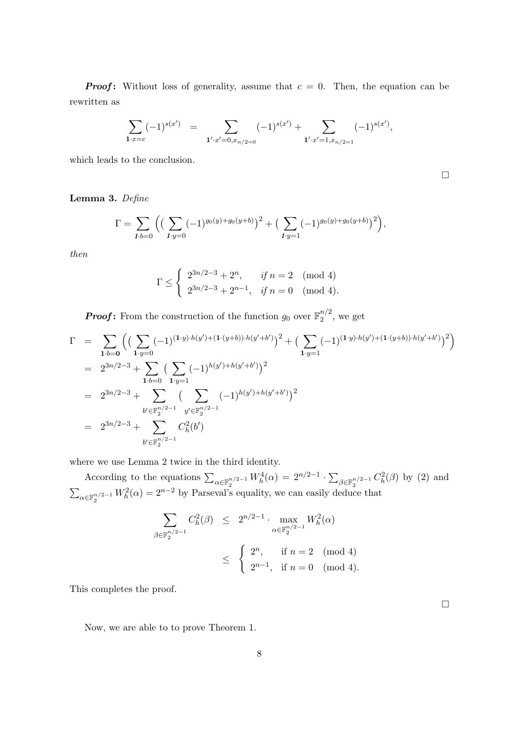**Proof:** Without loss of generality, assume that  $c = 0$ . Then, the equation can be rewritten as

$$
\sum_{\mathbf{1}\cdot x=c}(-1)^{s(x')} = \sum_{\mathbf{1}'\cdot x'=0, x_{n/2=0}}(-1)^{s(x')} + \sum_{\mathbf{1}'\cdot x'=1, x_{n/2=1}}(-1)^{s(x')},
$$

which leads to the conclusion.

Lemma 3. Define

$$
\Gamma = \sum_{\mathbf{1} \cdot \mathbf{b} = 0} \Big( \big( \sum_{\mathbf{1} \cdot \mathbf{y} = 0} (-1)^{g_0(y) + g_0(y+b)} \big)^2 + \big( \sum_{\mathbf{1} \cdot \mathbf{y} = 1} (-1)^{g_0(y) + g_0(y+b)} \big)^2 \Big),
$$

then

$$
\Gamma \le \begin{cases} 2^{3n/2-3} + 2^n, & \text{if } n = 2 \pmod{4} \\ 2^{3n/2-3} + 2^{n-1}, & \text{if } n = 0 \pmod{4}. \end{cases}
$$

**Proof:** From the construction of the function  $g_0$  over  $\mathbb{F}_2^{n/2}$  $2^{n/2}$ , we get

$$
\Gamma = \sum_{\mathbf{1}\cdot b=\mathbf{0}} \left( \left( \sum_{\mathbf{1}\cdot y=\mathbf{0}} (-1)^{(\mathbf{1}\cdot y)\cdot h(y') + (\mathbf{1}\cdot (y+b))\cdot h(y'+b')} \right)^2 + \left( \sum_{\mathbf{1}\cdot y=\mathbf{1}} (-1)^{(\mathbf{1}\cdot y)\cdot h(y') + (\mathbf{1}\cdot (y+b))\cdot h(y'+b')} \right)^2 \right)
$$
\n
$$
= 2^{3n/2-3} + \sum_{\mathbf{1}\cdot b=\mathbf{0}} \left( \sum_{\mathbf{1}\cdot y=\mathbf{1}} (-1)^{h(y') + h(y'+b')} \right)^2
$$
\n
$$
= 2^{3n/2-3} + \sum_{\mathbf{b}'\in\mathbb{F}_2^{n/2-1}} \left( \sum_{\mathbf{y}'\in\mathbb{F}_2^{n/2-1}} (-1)^{h(y') + h(y'+b')} \right)^2
$$
\n
$$
= 2^{3n/2-3} + \sum_{\mathbf{b}'\in\mathbb{F}_2^{n/2-1}} C_h^2(b')
$$

where we use Lemma 2 twice in the third identity.

According to the equations  $\sum_{\alpha \in \mathbb{F}_2^{n/2-1}} W_h^4(\alpha) = 2^{n/2-1}$ .  $\overline{ }$  $_{\beta \in \mathbb{F}_2^{n/2-1}} C_h^2(\beta)$  by (2) and  $\overline{ }$  $\alpha \in \mathbb{F}_2^{n/2-1} W_h^2(\alpha) = 2^{n-2}$  by Parseval's equality, we can easily deduce that

$$
\sum_{\beta \in \mathbb{F}_2^{n/2 - 1}} C_h^2(\beta) \le 2^{n/2 - 1} \cdot \max_{\alpha \in \mathbb{F}_2^{n/2 - 1}} W_h^2(\alpha)
$$
  

$$
\le \begin{cases} 2^n, & \text{if } n = 2 \pmod{4} \\ 2^{n-1}, & \text{if } n = 0 \pmod{4}. \end{cases}
$$

This completes the proof.

Now, we are able to to prove Theorem 1.

¤

¤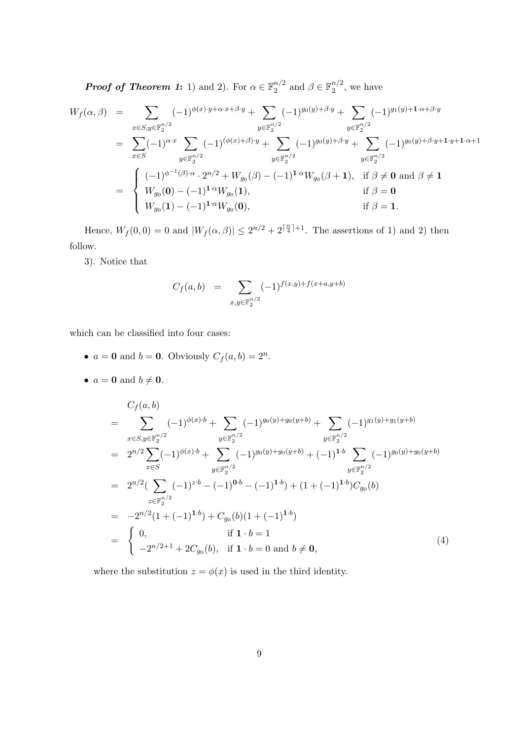**Proof of Theorem 1:** 1) and 2). For  $\alpha \in \mathbb{F}_2^{n/2}$  $n/2$  and  $\beta \in \mathbb{F}_2^{n/2}$  $\frac{n}{2}$ , we have

$$
W_f(\alpha, \beta) = \sum_{x \in S, y \in \mathbb{F}_2^{n/2}} (-1)^{\phi(x) \cdot y + \alpha \cdot x + \beta \cdot y} + \sum_{y \in \mathbb{F}_2^{n/2}} (-1)^{g_0(y) + \beta \cdot y} + \sum_{y \in \mathbb{F}_2^{n/2}} (-1)^{g_1(y) + 1 \cdot \alpha + \beta \cdot y}
$$
  
\n
$$
= \sum_{x \in S} (-1)^{\alpha \cdot x} \sum_{y \in \mathbb{F}_2^{n/2}} (-1)^{(\phi(x) + \beta) \cdot y} + \sum_{y \in \mathbb{F}_2^{n/2}} (-1)^{g_0(y) + \beta \cdot y} + \sum_{y \in \mathbb{F}_2^{n/2}} (-1)^{g_0(y) + \beta \cdot y + 1 \cdot y + 1 \cdot \alpha + 1}
$$
  
\n
$$
= \begin{cases} (-1)^{\phi^{-1}(\beta) \cdot \alpha} \cdot 2^{n/2} + W_{g_0}(\beta) - (-1)^{1 \cdot \alpha} W_{g_0}(\beta + 1), & \text{if } \beta \neq \mathbf{0} \text{ and } \beta \neq \mathbf{1} \\ W_{g_0}(\mathbf{0}) - (-1)^{1 \cdot \alpha} W_{g_0}(\mathbf{1}), & \text{if } \beta = \mathbf{0} \\ W_{g_0}(\mathbf{1}) - (-1)^{1 \cdot \alpha} W_{g_0}(\mathbf{0}), & \text{if } \beta = \mathbf{1}. \end{cases}
$$

Hence,  $W_f(0,0) = 0$  and  $|W_f(\alpha, \beta)| \leq 2^{n/2} + 2^{\lceil \frac{n}{4} \rceil + 1}$ . The assertions of 1) and 2) then follow.

3). Notice that

$$
C_f(a,b) = \sum_{x,y \in \mathbb{F}_2^{n/2}} (-1)^{f(x,y) + f(x+a,y+b)}
$$

which can be classified into four cases:

- $a = 0$  and  $b = 0$ . Obviously  $C_f(a, b) = 2^n$ .
- $a = 0$  and  $b \neq 0$ .

$$
C_f(a,b)
$$
  
= 
$$
\sum_{x \in S, y \in \mathbb{F}_2^{n/2}} (-1)^{\phi(x) \cdot b} + \sum_{y \in \mathbb{F}_2^{n/2}} (-1)^{g_0(y) + g_0(y+b)} + \sum_{y \in \mathbb{F}_2^{n/2}} (-1)^{g_1(y) + g_1(y+b)}
$$
  
= 
$$
2^{n/2} \sum_{x \in S} (-1)^{\phi(x) \cdot b} + \sum_{y \in \mathbb{F}_2^{n/2}} (-1)^{g_0(y) + g_0(y+b)} + (-1)^{1 \cdot b} \sum_{y \in \mathbb{F}_2^{n/2}} (-1)^{g_0(y) + g_0(y+b)}
$$
  
= 
$$
2^{n/2} (\sum_{z \in \mathbb{F}_2^{n/2}} (-1)^{z \cdot b} - (-1)^{0 \cdot b} - (-1)^{1 \cdot b}) + (1 + (-1)^{1 \cdot b}) C_{g_0}(b)
$$
  
= 
$$
-2^{n/2} (1 + (-1)^{1 \cdot b}) + C_{g_0}(b) (1 + (-1)^{1 \cdot b})
$$
  
= 
$$
\begin{cases} 0, & \text{if } 1 \cdot b = 1 \\ -2^{n/2+1} + 2C_{g_0}(b), & \text{if } 1 \cdot b = 0 \text{ and } b \neq \mathbf{0}, \end{cases}
$$
(4)

where the substitution  $z = \phi(x)$  is used in the third identity.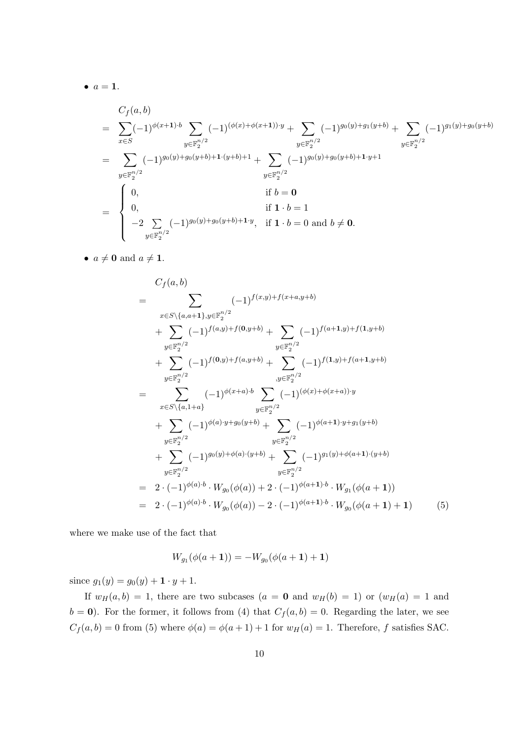$\bullet$   $a=1$ .

$$
C_f(a,b)
$$
  
= 
$$
\sum_{x \in S} (-1)^{\phi(x+1) \cdot b} \sum_{y \in \mathbb{F}_2^{n/2}} (-1)^{(\phi(x)+\phi(x+1)) \cdot y} + \sum_{y \in \mathbb{F}_2^{n/2}} (-1)^{g_0(y)+g_1(y+b)} + \sum_{y \in \mathbb{F}_2^{n/2}} (-1)^{g_1(y)+g_0(y+b)}
$$
  
= 
$$
\sum_{y \in \mathbb{F}_2^{n/2}} (-1)^{g_0(y)+g_0(y+b)+1 \cdot (y+b)+1} + \sum_{y \in \mathbb{F}_2^{n/2}} (-1)^{g_0(y)+g_0(y+b)+1 \cdot y+1}
$$
  
= 
$$
\begin{cases} 0, & \text{if } b = \mathbf{0} \\ 0, & \text{if } 1 \cdot b = 1 \\ -2 \sum_{y \in \mathbb{F}_2^{n/2}} (-1)^{g_0(y)+g_0(y+b)+1 \cdot y}, & \text{if } 1 \cdot b = 0 \text{ and } b \neq \mathbf{0}. \end{cases}
$$

•  $a \neq 0$  and  $a \neq 1$ .

$$
C_{f}(a,b)
$$
\n
$$
= \sum_{x \in S \setminus \{a,a+1\}, y \in \mathbb{F}_{2}^{n/2}} (-1)^{f(x,y)+f(x+a,y+b)}
$$
\n
$$
+ \sum_{y \in \mathbb{F}_{2}^{n/2}} (-1)^{f(a,y)+f(0,y+b)} + \sum_{y \in \mathbb{F}_{2}^{n/2}} (-1)^{f(a+1,y)+f(1,y+b)}
$$
\n
$$
+ \sum_{y \in \mathbb{F}_{2}^{n/2}} (-1)^{f(0,y)+f(a,y+b)} + \sum_{y \in \mathbb{F}_{2}^{n/2}} (-1)^{f(1,y)+f(a+1,y+b)}
$$
\n
$$
= \sum_{x \in S \setminus \{a,1+a\}} (-1)^{\phi(x+a)\cdot b} \sum_{y \in \mathbb{F}_{2}^{n/2}} (-1)^{(\phi(x)+\phi(x+a))\cdot y}
$$
\n
$$
+ \sum_{y \in \mathbb{F}_{2}^{n/2}} (-1)^{\phi(a)\cdot y+g_0(y+b)} + \sum_{y \in \mathbb{F}_{2}^{n/2}} (-1)^{\phi(a+1)\cdot y+g_1(y+b)}
$$
\n
$$
+ \sum_{y \in \mathbb{F}_{2}^{n/2}} (-1)^{g_0(y)+\phi(a)\cdot (y+b)} + \sum_{y \in \mathbb{F}_{2}^{n/2}} (-1)^{g_1(y)+\phi(a+1)\cdot (y+b)}
$$
\n
$$
= 2 \cdot (-1)^{\phi(a)\cdot b} \cdot W_{g_0}(\phi(a)) + 2 \cdot (-1)^{\phi(a+1)\cdot b} \cdot W_{g_1}(\phi(a+1))
$$
\n
$$
= 2 \cdot (-1)^{\phi(a)\cdot b} \cdot W_{g_0}(\phi(a)) - 2 \cdot (-1)^{\phi(a+1)\cdot b} \cdot W_{g_0}(\phi(a+1) + 1) \qquad (5)
$$

where we make use of the fact that

$$
W_{g_1}(\phi(a+1)) = -W_{g_0}(\phi(a+1) + 1)
$$

since  $g_1(y) = g_0(y) + \mathbf{1} \cdot y + 1$ .

If  $w_H(a, b) = 1$ , there are two subcases  $(a = 0 \text{ and } w_H(b) = 1)$  or  $(w_H(a) = 1 \text{ and } w_H(b) = 1)$  $b = 0$ ). For the former, it follows from (4) that  $C_f(a, b) = 0$ . Regarding the later, we see  $C_f(a, b) = 0$  from (5) where  $\phi(a) = \phi(a + 1) + 1$  for  $w_H(a) = 1$ . Therefore, f satisfies SAC.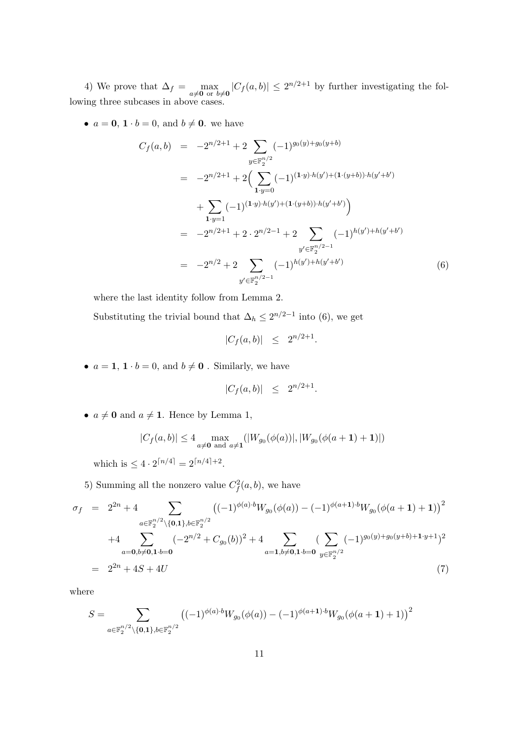4) We prove that  $\Delta_f = \max_{a \neq \mathbf{0} \text{ or } b \neq \mathbf{0}} |C_f(a, b)| \leq 2^{n/2+1}$  by further investigating the following three subcases in above cases.

•  $a = 0, 1 \cdot b = 0$ , and  $b \neq 0$ . we have

$$
C_f(a,b) = -2^{n/2+1} + 2 \sum_{y \in \mathbb{F}_2^{n/2}} (-1)^{g_0(y) + g_0(y+b)}
$$
  
\n
$$
= -2^{n/2+1} + 2 \Big( \sum_{1 \cdot y = 0} (-1)^{(1 \cdot y) \cdot h(y') + (1 \cdot (y+b)) \cdot h(y'+b')}
$$
  
\n
$$
+ \sum_{1 \cdot y = 1} (-1)^{(1 \cdot y) \cdot h(y') + (1 \cdot (y+b)) \cdot h(y'+b')}
$$
  
\n
$$
= -2^{n/2+1} + 2 \cdot 2^{n/2-1} + 2 \sum_{y' \in \mathbb{F}_2^{n/2-1}} (-1)^{h(y') + h(y'+b')}
$$
  
\n(6)

where the last identity follow from Lemma 2.

Substituting the trivial bound that  $\Delta_h \leq 2^{n/2-1}$  into (6), we get

$$
|C_f(a,b)| \leq 2^{n/2+1}.
$$

•  $a = 1, 1 \cdot b = 0$ , and  $b \neq 0$ . Similarly, we have

$$
|C_f(a,b)| \leq 2^{n/2+1}.
$$

•  $a \neq 0$  and  $a \neq 1$ . Hence by Lemma 1,

$$
|C_f(a,b)| \le 4 \max_{a \neq \mathbf{0} \text{ and } a \neq \mathbf{1}} (|W_{g_0}(\phi(a))|, |W_{g_0}(\phi(a+\mathbf{1})+\mathbf{1})|)
$$

which is  $\leq 4 \cdot 2^{\lceil n/4 \rceil} = 2^{\lceil n/4 \rceil + 2}$ .

5) Summing all the nonzero value  $C_f^2(a, b)$ , we have

$$
\sigma_f = 2^{2n} + 4 \sum_{a \in \mathbb{F}_2^{n/2} \backslash \{0, 1\}, b \in \mathbb{F}_2^{n/2}} \left( (-1)^{\phi(a) \cdot b} W_{g_0}(\phi(a)) - (-1)^{\phi(a+1) \cdot b} W_{g_0}(\phi(a+1)+1) \right)^2
$$
  
+4 
$$
\sum_{a=0, b \neq 0, 1 \cdot b = 0} (-2^{n/2} + C_{g_0}(b))^2 + 4 \sum_{a=1, b \neq 0, 1 \cdot b = 0} \left( \sum_{y \in \mathbb{F}_2^{n/2}} (-1)^{g_0(y) + g_0(y+b) + 1 \cdot y + 1} \right)^2
$$
  
= 2^{2n} + 4S + 4U (7)

where

$$
S = \sum_{a \in \mathbb{F}_2^{n/2} \setminus \{\mathbf{0}, \mathbf{1}\}, b \in \mathbb{F}_2^{n/2}} \left( (-1)^{\phi(a) \cdot b} W_{g_0}(\phi(a)) - (-1)^{\phi(a+1) \cdot b} W_{g_0}(\phi(a+1) + 1) \right)^2
$$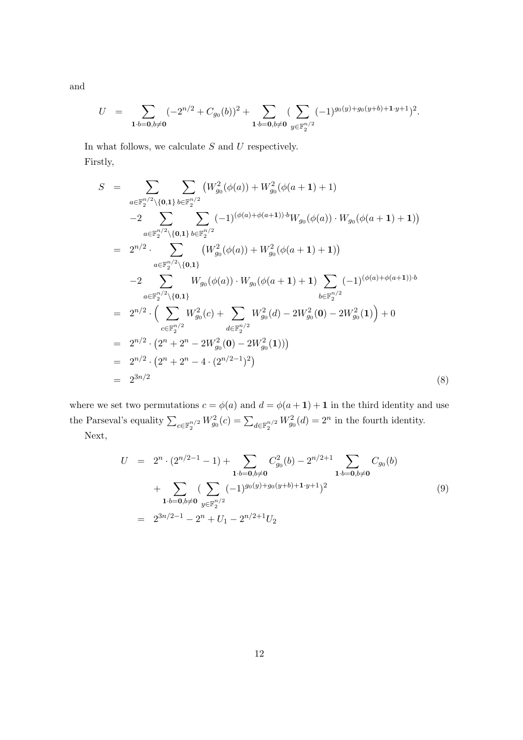and

$$
U = \sum_{\mathbf{1}\cdot b = \mathbf{0}, b \neq \mathbf{0}} (-2^{n/2} + C_{g_0}(b))^2 + \sum_{\mathbf{1}\cdot b = \mathbf{0}, b \neq \mathbf{0}} \left( \sum_{y \in \mathbb{F}_2^{n/2}} (-1)^{g_0(y) + g_0(y+b) + \mathbf{1}\cdot y + 1} \right)^2.
$$

In what follows, we calculate  $S$  and  $U$  respectively. Firstly,

$$
S = \sum_{a \in \mathbb{F}_2^{n/2} \setminus \{0,1\}} \sum_{b \in \mathbb{F}_2^{n/2}} \left( W_{g_0}^2(\phi(a)) + W_{g_0}^2(\phi(a+1)+1) \right)
$$
  
\n
$$
-2 \sum_{a \in \mathbb{F}_2^{n/2} \setminus \{0,1\}} \sum_{b \in \mathbb{F}_2^{n/2}} (-1)^{(\phi(a)+\phi(a+1)) \cdot b} W_{g_0}(\phi(a)) \cdot W_{g_0}(\phi(a+1)+1) \right)
$$
  
\n
$$
= 2^{n/2} \cdot \sum_{a \in \mathbb{F}_2^{n/2} \setminus \{0,1\}} \left( W_{g_0}^2(\phi(a)) + W_{g_0}^2(\phi(a+1)+1) \right)
$$
  
\n
$$
-2 \sum_{a \in \mathbb{F}_2^{n/2} \setminus \{0,1\}} W_{g_0}(\phi(a)) \cdot W_{g_0}(\phi(a+1)+1) \sum_{b \in \mathbb{F}_2^{n/2}} (-1)^{(\phi(a)+\phi(a+1)) \cdot b}
$$
  
\n
$$
= 2^{n/2} \cdot \left( \sum_{c \in \mathbb{F}_2^{n/2}} W_{g_0}^2(c) + \sum_{d \in \mathbb{F}_2^{n/2}} W_{g_0}^2(d) - 2W_{g_0}^2(0) - 2W_{g_0}^2(1) \right) + 0
$$
  
\n
$$
= 2^{n/2} \cdot (2^n + 2^n - 2W_{g_0}^2(0) - 2W_{g_0}^2(1))
$$
  
\n
$$
= 2^{n/2} \cdot (2^n + 2^n - 4 \cdot (2^{n/2-1})^2)
$$
  
\n
$$
= 2^{3n/2} \qquad (8)
$$

where we set two permutations  $c = \phi(a)$  and  $d = \phi(a+1) + 1$  in the third identity and use the Parseval's equality  $\sum_{c \in \mathbb{F}_2^{n/2}} W_{g_0}^2(c) = \sum_{d \in \mathbb{F}_2^{n/2}} W_{g_0}^2(d) = 2^n$  in the fourth identity. Next,

$$
U = 2n \cdot (2^{n/2-1} - 1) + \sum_{\mathbf{1} \cdot b = \mathbf{0}, b \neq \mathbf{0}} C_{g_0}^2(b) - 2^{n/2+1} \sum_{\mathbf{1} \cdot b = \mathbf{0}, b \neq \mathbf{0}} C_{g_0}(b)
$$
  
+ 
$$
\sum_{\mathbf{1} \cdot b = \mathbf{0}, b \neq \mathbf{0}} (\sum_{y \in \mathbb{F}_2^{n/2}} (-1)^{g_0(y) + g_0(y+b) + \mathbf{1} \cdot y + 1})^2
$$
  
= 
$$
2^{3n/2-1} - 2^n + U_1 - 2^{n/2+1} U_2
$$
 (9)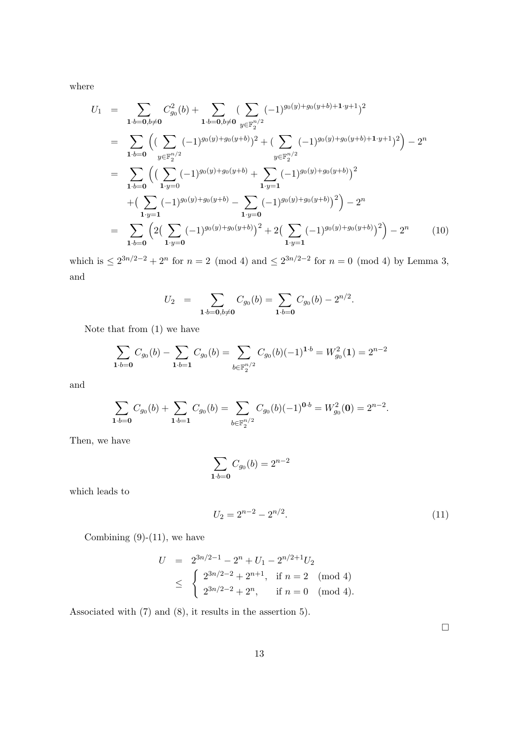where

$$
U_{1} = \sum_{\mathbf{1}\cdot b=\mathbf{0},b\neq\mathbf{0}} C_{g_{0}}^{2}(b) + \sum_{\mathbf{1}\cdot b=\mathbf{0},b\neq\mathbf{0}} (\sum_{y\in\mathbb{F}_{2}^{n/2}} (-1)^{g_{0}(y)+g_{0}(y+b)+\mathbf{1}\cdot y+1})^{2}
$$
  
\n
$$
= \sum_{\mathbf{1}\cdot b=\mathbf{0}} \left( (\sum_{y\in\mathbb{F}_{2}^{n/2}} (-1)^{g_{0}(y)+g_{0}(y+b)})^{2} + (\sum_{y\in\mathbb{F}_{2}^{n/2}} (-1)^{g_{0}(y)+g_{0}(y+b)+\mathbf{1}\cdot y+1})^{2} \right) - 2^{n}
$$
  
\n
$$
= \sum_{\mathbf{1}\cdot b=\mathbf{0}} \left( (\sum_{\mathbf{1}\cdot y=0} (-1)^{g_{0}(y)+g_{0}(y+b)} + \sum_{\mathbf{1}\cdot y=1} (-1)^{g_{0}(y)+g_{0}(y+b)})^{2} + (\sum_{\mathbf{1}\cdot y=1} (-1)^{g_{0}(y)+g_{0}(y+b)})^{2} \right) - 2^{n}
$$
  
\n
$$
= \sum_{\mathbf{1}\cdot b=\mathbf{0}} \left( 2\left( \sum_{\mathbf{1}\cdot y=0} (-1)^{g_{0}(y)+g_{0}(y+b)} \right)^{2} + 2\left( \sum_{\mathbf{1}\cdot y=1} (-1)^{g_{0}(y)+g_{0}(y+b)} \right)^{2} \right) - 2^{n} \qquad (10)
$$

which is  $\leq 2^{3n/2-2} + 2^n$  for  $n = 2 \pmod{4}$  and  $\leq 2^{3n/2-2}$  for  $n = 0 \pmod{4}$  by Lemma 3, and

$$
U_2 = \sum_{1 \cdot b = 0, b \neq 0} C_{g_0}(b) = \sum_{1 \cdot b = 0} C_{g_0}(b) - 2^{n/2}.
$$

Note that from (1) we have

$$
\sum_{\mathbf{1}\cdot b=\mathbf{0}} C_{g_0}(b) - \sum_{\mathbf{1}\cdot b=\mathbf{1}} C_{g_0}(b) = \sum_{b\in\mathbb{F}_2^{n/2}} C_{g_0}(b)(-1)^{\mathbf{1}\cdot b} = W_{g_0}^2(\mathbf{1}) = 2^{n-2}
$$

and

$$
\sum_{\mathbf{1}\cdot b=\mathbf{0}} C_{g_0}(b) + \sum_{\mathbf{1}\cdot b=\mathbf{1}} C_{g_0}(b) = \sum_{b\in \mathbb{F}_2^{n/2}} C_{g_0}(b)(-1)^{\mathbf{0}\cdot b} = W_{g_0}^2(\mathbf{0}) = 2^{n-2}.
$$

Then, we have

$$
\sum_{1 \cdot b = 0} C_{g_0}(b) = 2^{n-2}
$$

which leads to

$$
U_2 = 2^{n-2} - 2^{n/2}.\tag{11}
$$

Combining  $(9)-(11)$ , we have

$$
U = 2^{3n/2-1} - 2^{n} + U_1 - 2^{n/2+1}U_2
$$
  
\$\leq\$ 
$$
\begin{cases} 2^{3n/2-2} + 2^{n+1}, & \text{if } n = 2 \pmod{4} \\ 2^{3n/2-2} + 2^{n}, & \text{if } n = 0 \pmod{4} . \end{cases}
$$

Associated with (7) and (8), it results in the assertion 5).

 $\hfill \square$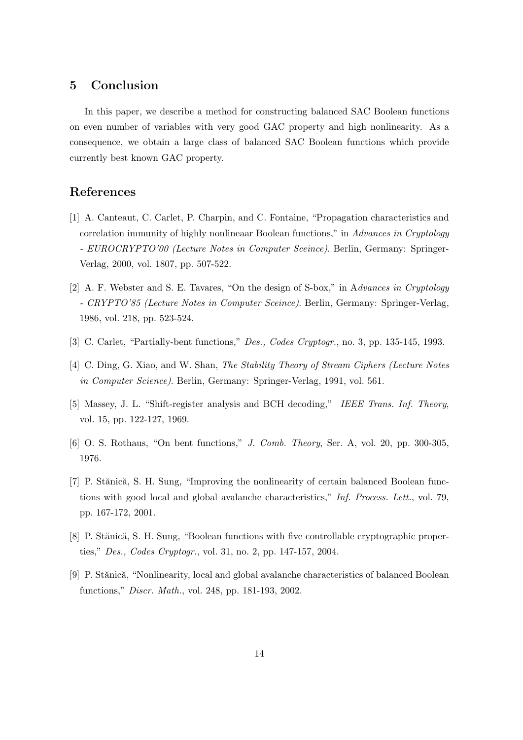## 5 Conclusion

In this paper, we describe a method for constructing balanced SAC Boolean functions on even number of variables with very good GAC property and high nonlinearity. As a consequence, we obtain a large class of balanced SAC Boolean functions which provide currently best known GAC property.

# References

- [1] A. Canteaut, C. Carlet, P. Charpin, and C. Fontaine, "Propagation characteristics and correlation immunity of highly nonlineaar Boolean functions," in Advances in Cryptology - EUROCRYPTO'00 (Lecture Notes in Computer Sceince). Berlin, Germany: Springer-Verlag, 2000, vol. 1807, pp. 507-522.
- [2] A. F. Webster and S. E. Tavares, "On the design of S-box," in Advances in Cryptology - CRYPTO'85 (Lecture Notes in Computer Sceince). Berlin, Germany: Springer-Verlag, 1986, vol. 218, pp. 523-524.
- [3] C. Carlet, "Partially-bent functions," Des., Codes Cryptogr., no. 3, pp. 135-145, 1993.
- [4] C. Ding, G. Xiao, and W. Shan, The Stability Theory of Stream Ciphers (Lecture Notes in Computer Science). Berlin, Germany: Springer-Verlag, 1991, vol. 561.
- [5] Massey, J. L. "Shift-register analysis and BCH decoding," IEEE Trans. Inf. Theory, vol. 15, pp. 122-127, 1969.
- [6] O. S. Rothaus, "On bent functions," J. Comb. Theory, Ser. A, vol. 20, pp. 300-305, 1976.
- [7] P. Stănică, S. H. Sung, "Improving the nonlinearity of certain balanced Boolean functions with good local and global avalanche characteristics," Inf. Process. Lett., vol. 79, pp. 167-172, 2001.
- [8] P. Stănică, S. H. Sung, "Boolean functions with five controllable cryptographic properties," Des., Codes Cryptogr., vol. 31, no. 2, pp. 147-157, 2004.
- [9] P. Stănică, "Nonlinearity, local and global avalanche characteristics of balanced Boolean functions," Discr. Math., vol. 248, pp. 181-193, 2002.